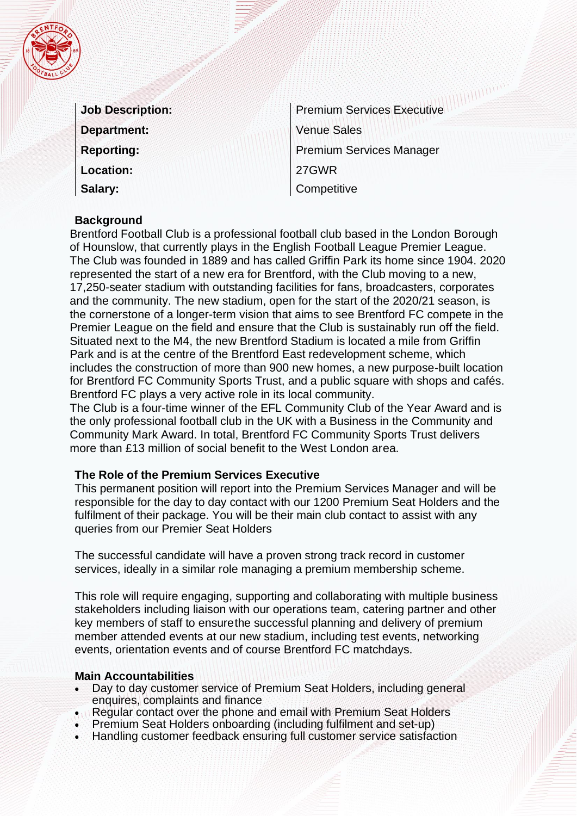|  |     | 2<br>ô<br>¢, |  |
|--|-----|--------------|--|
|  |     |              |  |
|  | BAL |              |  |

| <b>Job Description:</b> |
|-------------------------|
| <b>Department:</b>      |
| <b>Reporting:</b>       |
| <b>Location:</b>        |
| Salary:                 |

Premium Services Executive Venue Sales Premium Services Manager 27GWR **Competitive** 

### **Background**

Brentford Football Club is a professional football club based in the London Borough of Hounslow, that currently plays in the English Football League Premier League. The Club was founded in 1889 and has called Griffin Park its home since 1904. 2020 represented the start of a new era for Brentford, with the Club moving to a new, 17,250-seater stadium with outstanding facilities for fans, broadcasters, corporates and the community. The new stadium, open for the start of the 2020/21 season, is the cornerstone of a longer-term vision that aims to see Brentford FC compete in the Premier League on the field and ensure that the Club is sustainably run off the field. Situated next to the M4, the new Brentford Stadium is located a mile from Griffin Park and is at the centre of the Brentford East redevelopment scheme, which includes the construction of more than 900 new homes, a new purpose-built location for Brentford FC Community Sports Trust, and a public square with shops and cafés. Brentford FC plays a very active role in its local community.

The Club is a four-time winner of the EFL Community Club of the Year Award and is the only professional football club in the UK with a Business in the Community and Community Mark Award. In total, Brentford FC Community Sports Trust delivers more than £13 million of social benefit to the West London area.

### **The Role of the Premium Services Executive**

This permanent position will report into the Premium Services Manager and will be responsible for the day to day contact with our 1200 Premium Seat Holders and the fulfilment of their package. You will be their main club contact to assist with any queries from our Premier Seat Holders

The successful candidate will have a proven strong track record in customer services, ideally in a similar role managing a premium membership scheme.

This role will require engaging, supporting and collaborating with multiple business stakeholders including liaison with our operations team, catering partner and other key members of staff to ensurethe successful planning and delivery of premium member attended events at our new stadium, including test events, networking events, orientation events and of course Brentford FC matchdays.

#### **Main Accountabilities**

- Day to day customer service of Premium Seat Holders, including general enquires, complaints and finance
- Regular contact over the phone and email with Premium Seat Holders
- Premium Seat Holders onboarding (including fulfilment and set-up)
- Handling customer feedback ensuring full customer service satisfaction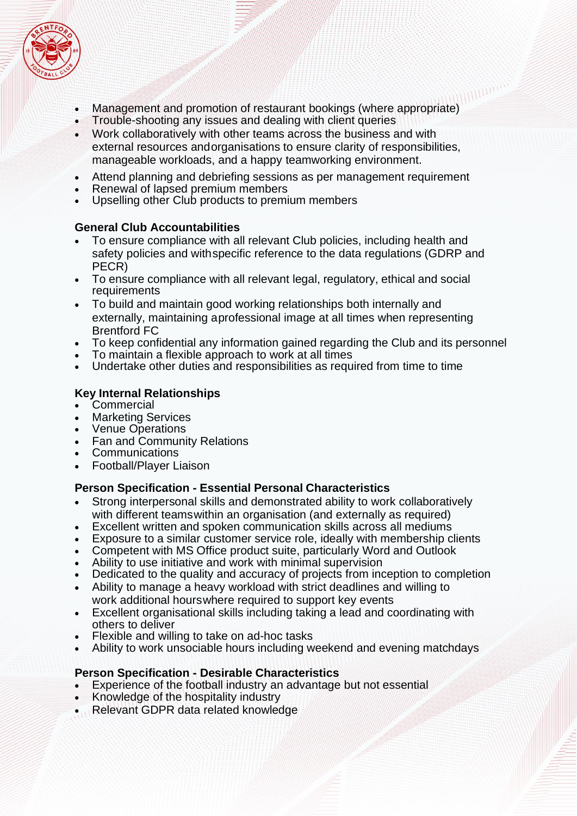

- Management and promotion of restaurant bookings (where appropriate)
- Trouble-shooting any issues and dealing with client queries
- Work collaboratively with other teams across the business and with external resources andorganisations to ensure clarity of responsibilities, manageable workloads, and a happy teamworking environment.
- Attend planning and debriefing sessions as per management requirement
- Renewal of lapsed premium members
- Upselling other Club products to premium members

### **General Club Accountabilities**

- To ensure compliance with all relevant Club policies, including health and safety policies and withspecific reference to the data regulations (GDRP and PECR)
- To ensure compliance with all relevant legal, regulatory, ethical and social requirements
- To build and maintain good working relationships both internally and externally, maintaining aprofessional image at all times when representing Brentford FC
- To keep confidential any information gained regarding the Club and its personnel
- To maintain a flexible approach to work at all times
- Undertake other duties and responsibilities as required from time to time

### **Key Internal Relationships**

- **Commercial**
- Marketing Services
- Venue Operations
- Fan and Community Relations
- **Communications**
- Football/Player Liaison

### **Person Specification - Essential Personal Characteristics**

- Strong interpersonal skills and demonstrated ability to work collaboratively with different teamswithin an organisation (and externally as required)
- Excellent written and spoken communication skills across all mediums
- Exposure to a similar customer service role, ideally with membership clients
- Competent with MS Office product suite, particularly Word and Outlook
- Ability to use initiative and work with minimal supervision
- Dedicated to the quality and accuracy of projects from inception to completion
- Ability to manage a heavy workload with strict deadlines and willing to work additional hourswhere required to support key events
- Excellent organisational skills including taking a lead and coordinating with others to deliver
- Flexible and willing to take on ad-hoc tasks
- Ability to work unsociable hours including weekend and evening matchdays

### **Person Specification - Desirable Characteristics**

- Experience of the football industry an advantage but not essential
- Knowledge of the hospitality industry
- Relevant GDPR data related knowledge